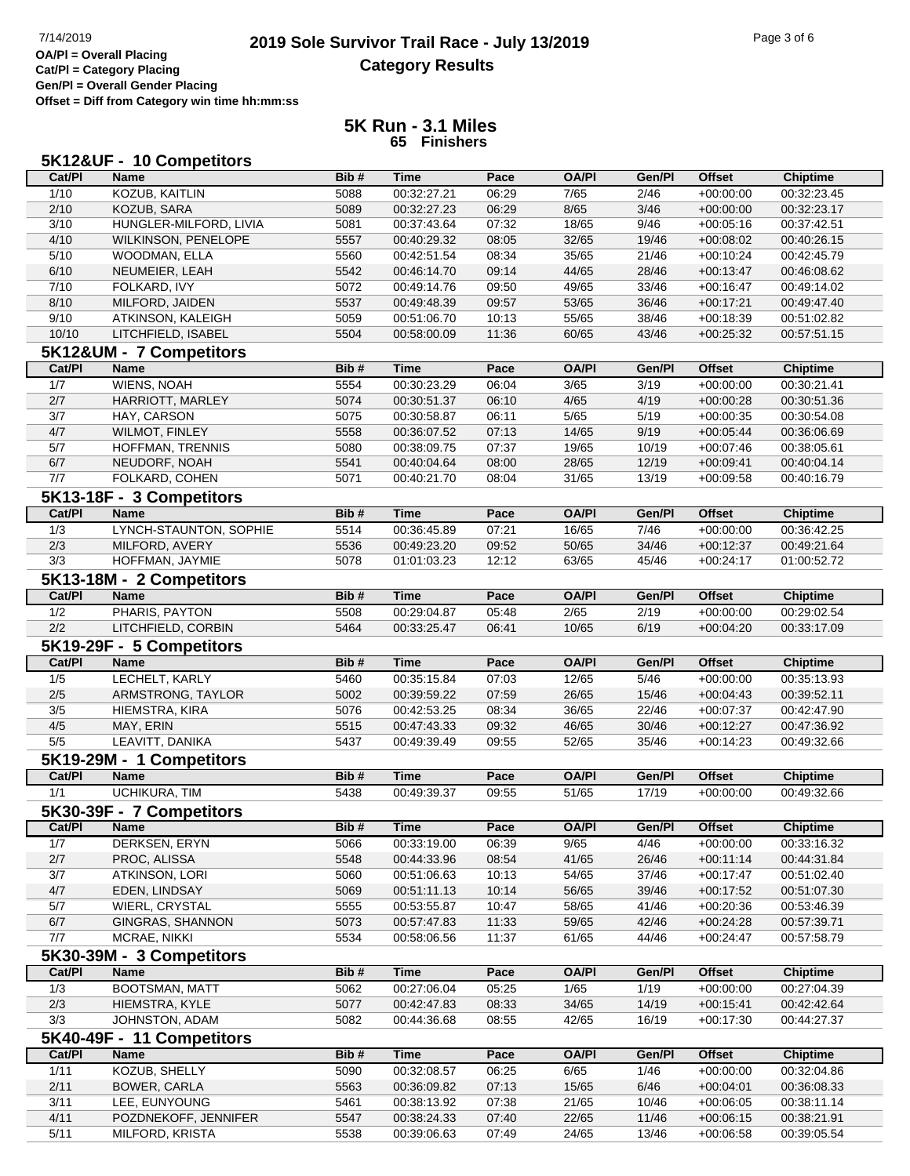## **2019 Sole Survivor Trail Race - July 13/2019** Page 3 of 6 Page 3 of 6 Page 3 of 6 **Category Results**

**Cat/Pl = Category Placing Gen/Pl = Overall Gender Placing Offset = Diff from Category win time hh:mm:ss**

## **5K Run - 3.1 Miles 65 Finishers**

|                  | 5K12&UF - 10 Competitors               |      |             |       |              |                |               |                 |
|------------------|----------------------------------------|------|-------------|-------|--------------|----------------|---------------|-----------------|
| Cat/PI           | <b>Name</b>                            | Bib# | <b>Time</b> | Pace  | <b>OA/PI</b> | Gen/Pl         | <b>Offset</b> | <b>Chiptime</b> |
| 1/10             | <b>KOZUB, KAITLIN</b>                  | 5088 | 00:32:27.21 | 06:29 | 7/65         | 2/46           | $+00:00:00$   | 00:32:23.45     |
| 2/10             | KOZUB, SARA                            | 5089 | 00:32:27.23 | 06:29 | 8/65         | $\frac{3}{46}$ | $+00:00:00$   | 00:32:23.17     |
| 3/10             | HUNGLER-MILFORD, LIVIA                 | 5081 | 00:37:43.64 | 07:32 | 18/65        | 9/46           | $+00:05:16$   | 00:37:42.51     |
| 4/10             | WILKINSON, PENELOPE                    | 5557 | 00:40:29.32 | 08:05 | 32/65        | 19/46          | $+00:08:02$   | 00:40:26.15     |
| 5/10             | WOODMAN, ELLA                          | 5560 | 00:42:51.54 | 08:34 | 35/65        | 21/46          | $+00:10:24$   | 00:42:45.79     |
| 6/10             | NEUMEIER, LEAH                         | 5542 | 00:46:14.70 | 09:14 | 44/65        | 28/46          | $+00:13:47$   | 00:46:08.62     |
| 7/10             | FOLKARD, IVY                           | 5072 | 00:49:14.76 | 09:50 | 49/65        | 33/46          | $+00:16:47$   | 00:49:14.02     |
| 8/10             | MILFORD, JAIDEN                        | 5537 | 00:49:48.39 | 09:57 | 53/65        | 36/46          | $+00:17:21$   | 00:49:47.40     |
| 9/10             | ATKINSON, KALEIGH                      | 5059 | 00:51:06.70 | 10:13 | 55/65        | 38/46          | $+00:18:39$   | 00:51:02.82     |
| 10/10            | LITCHFIELD, ISABEL                     | 5504 | 00:58:00.09 | 11:36 | 60/65        | 43/46          | $+00:25:32$   | 00:57:51.15     |
|                  |                                        |      |             |       |              |                |               |                 |
| Cat/PI           | 5K12&UM - 7 Competitors<br><b>Name</b> | Bib# | <b>Time</b> | Pace  | <b>OA/PI</b> | Gen/Pl         | <b>Offset</b> | <b>Chiptime</b> |
| 1/7              | <b>WIENS, NOAH</b>                     | 5554 | 00:30:23.29 | 06:04 | 3/65         | 3/19           | $+00:00:00$   | 00:30:21.41     |
|                  |                                        |      |             |       |              |                |               |                 |
| 2/7              | HARRIOTT, MARLEY                       | 5074 | 00:30:51.37 | 06:10 | 4/65         | 4/19           | $+00:00:28$   | 00:30:51.36     |
| 3/7              | HAY, CARSON                            | 5075 | 00:30:58.87 | 06:11 | 5/65         | 5/19           | $+00:00:35$   | 00:30:54.08     |
| 4/7              | WILMOT, FINLEY                         | 5558 | 00:36:07.52 | 07:13 | 14/65        | 9/19           | $+00:05:44$   | 00:36:06.69     |
| 5/7              | HOFFMAN, TRENNIS                       | 5080 | 00:38:09.75 | 07:37 | 19/65        | 10/19          | $+00:07:46$   | 00:38:05.61     |
| 6/7              | NEUDORF, NOAH                          | 5541 | 00:40:04.64 | 08:00 | 28/65        | 12/19          | $+00:09:41$   | 00:40:04.14     |
| 7/7              | FOLKARD, COHEN                         | 5071 | 00:40:21.70 | 08:04 | 31/65        | 13/19          | $+00:09:58$   | 00:40:16.79     |
|                  | 5K13-18F - 3 Competitors               |      |             |       |              |                |               |                 |
| Cat/PI           | <b>Name</b>                            | Bib# | <b>Time</b> | Pace  | <b>OA/PI</b> | Gen/Pl         | <b>Offset</b> | <b>Chiptime</b> |
| $\overline{1/3}$ | LYNCH-STAUNTON, SOPHIE                 | 5514 | 00:36:45.89 | 07:21 | 16/65        | 7/46           | $+00:00:00$   | 00:36:42.25     |
| 2/3              | MILFORD, AVERY                         | 5536 | 00:49:23.20 | 09:52 | 50/65        | 34/46          | $+00:12:37$   | 00:49:21.64     |
| 3/3              | HOFFMAN, JAYMIE                        | 5078 | 01:01:03.23 | 12:12 | 63/65        | 45/46          | $+00:24:17$   | 01:00:52.72     |
|                  | 5K13-18M - 2 Competitors               |      |             |       |              |                |               |                 |
| Cat/Pl           | <b>Name</b>                            | Bib# | <b>Time</b> | Pace  | <b>OA/PI</b> | Gen/Pl         | <b>Offset</b> | <b>Chiptime</b> |
| 1/2              | PHARIS, PAYTON                         | 5508 | 00:29:04.87 | 05:48 | 2/65         | 2/19           | $+00:00:00$   | 00:29:02.54     |
| 2/2              | LITCHFIELD, CORBIN                     | 5464 | 00:33:25.47 | 06:41 | 10/65        | 6/19           | $+00:04:20$   | 00:33:17.09     |
|                  |                                        |      |             |       |              |                |               |                 |
|                  | 5K19-29F - 5 Competitors               |      |             |       |              |                |               |                 |
| Cat/Pl           | <b>Name</b>                            | Bib# | <b>Time</b> | Pace  | <b>OA/PI</b> | Gen/Pl         | <b>Offset</b> | <b>Chiptime</b> |
| 1/5              | LECHELT, KARLY                         | 5460 | 00:35:15.84 | 07:03 | 12/65        | 5/46           | $+00:00:00$   | 00:35:13.93     |
| $2/5$            | ARMSTRONG, TAYLOR                      | 5002 | 00:39:59.22 | 07:59 | 26/65        | 15/46          | $+00:04:43$   | 00:39:52.11     |
| 3/5              | HIEMSTRA, KIRA                         | 5076 | 00:42:53.25 | 08:34 | 36/65        | 22/46          | $+00:07:37$   | 00:42:47.90     |
| 4/5              | MAY, ERIN                              | 5515 | 00:47:43.33 | 09:32 | 46/65        | 30/46          | $+00:12:27$   | 00:47:36.92     |
| 5/5              | LEAVITT, DANIKA                        | 5437 | 00:49:39.49 | 09:55 | 52/65        | 35/46          | $+00:14:23$   | 00:49:32.66     |
|                  | 5K19-29M - 1 Competitors               |      |             |       |              |                |               |                 |
| Cat/PI           | <b>Name</b>                            | Bib# | <b>Time</b> | Pace  | <b>OA/PI</b> | Gen/Pl         | <b>Offset</b> | <b>Chiptime</b> |
| 1/1              | <b>UCHIKURA, TIM</b>                   | 5438 | 00:49:39.37 | 09:55 | 51/65        | 17/19          | $+00:00:00$   | 00:49:32.66     |
|                  | 5K30-39F - 7 Competitors               |      |             |       |              |                |               |                 |
| Cat/PI           | Name                                   | Bib# | <b>Time</b> | Pace  | <b>OA/PI</b> | Gen/Pl         | Offset        | <b>Chiptime</b> |
| 1/7              | DERKSEN, ERYN                          | 5066 | 00:33:19.00 | 06:39 | 9/65         | 4/46           | $+00:00:00$   | 00:33:16.32     |
| 2/7              | PROC, ALISSA                           |      |             |       |              |                |               | 00:44:31.84     |
|                  |                                        | 5548 | 00:44:33.96 | 08:54 | 41/65        | 26/46          | $+00:11:14$   |                 |
| 3/7              | ATKINSON, LORI                         | 5060 | 00:51:06.63 | 10:13 | 54/65        | 37/46          | $+00:17:47$   | 00:51:02.40     |
| 4/7              | EDEN, LINDSAY                          | 5069 | 00:51:11.13 | 10:14 | 56/65        | 39/46          | $+00:17:52$   | 00:51:07.30     |
| 5/7              | WIERL, CRYSTAL                         | 5555 | 00:53:55.87 | 10:47 | 58/65        | 41/46          | $+00:20:36$   | 00:53:46.39     |
| 6/7              | <b>GINGRAS, SHANNON</b>                | 5073 | 00:57:47.83 | 11:33 | 59/65        | 42/46          | $+00:24:28$   | 00:57:39.71     |
| 7/7              | MCRAE, NIKKI                           | 5534 | 00:58:06.56 | 11:37 | 61/65        | 44/46          | $+00:24:47$   | 00:57:58.79     |
|                  | 5K30-39M - 3 Competitors               |      |             |       |              |                |               |                 |
| Cat/PI           | <b>Name</b>                            | Bib# | Time        | Pace  | <b>OA/PI</b> | Gen/Pl         | Offset        | <b>Chiptime</b> |
| 1/3              | <b>BOOTSMAN, MATT</b>                  | 5062 | 00:27:06.04 | 05:25 | 1/65         | 1/19           | $+00:00:00$   | 00:27:04.39     |
| 2/3              | HIEMSTRA, KYLE                         | 5077 | 00:42:47.83 | 08:33 | 34/65        | 14/19          | $+00:15:41$   | 00:42:42.64     |
| 3/3              | JOHNSTON, ADAM                         | 5082 | 00:44:36.68 | 08:55 | 42/65        | 16/19          | $+00:17:30$   | 00:44:27.37     |
|                  | 5K40-49F - 11 Competitors              |      |             |       |              |                |               |                 |
| Cat/PI           | <b>Name</b>                            | Bib# | <b>Time</b> | Pace  | <b>OA/PI</b> | Gen/Pl         | <b>Offset</b> | <b>Chiptime</b> |
| 1/11             | KOZUB, SHELLY                          | 5090 | 00:32:08.57 | 06:25 | 6/65         | 1/46           | $+00:00:00$   | 00:32:04.86     |
|                  |                                        |      |             |       |              |                |               |                 |
| 2/11             | BOWER, CARLA                           | 5563 | 00:36:09.82 | 07:13 | 15/65        | 6/46           | $+00:04:01$   | 00:36:08.33     |
| 3/11             | LEE, EUNYOUNG                          | 5461 | 00:38:13.92 | 07:38 | 21/65        | 10/46          | $+00:06:05$   | 00:38:11.14     |
| 4/11             | POZDNEKOFF, JENNIFER                   | 5547 | 00:38:24.33 | 07:40 | 22/65        | 11/46          | $+00:06:15$   | 00:38:21.91     |
| 5/11             | MILFORD, KRISTA                        | 5538 | 00:39:06.63 | 07:49 | 24/65        | 13/46          | $+00:06:58$   | 00:39:05.54     |